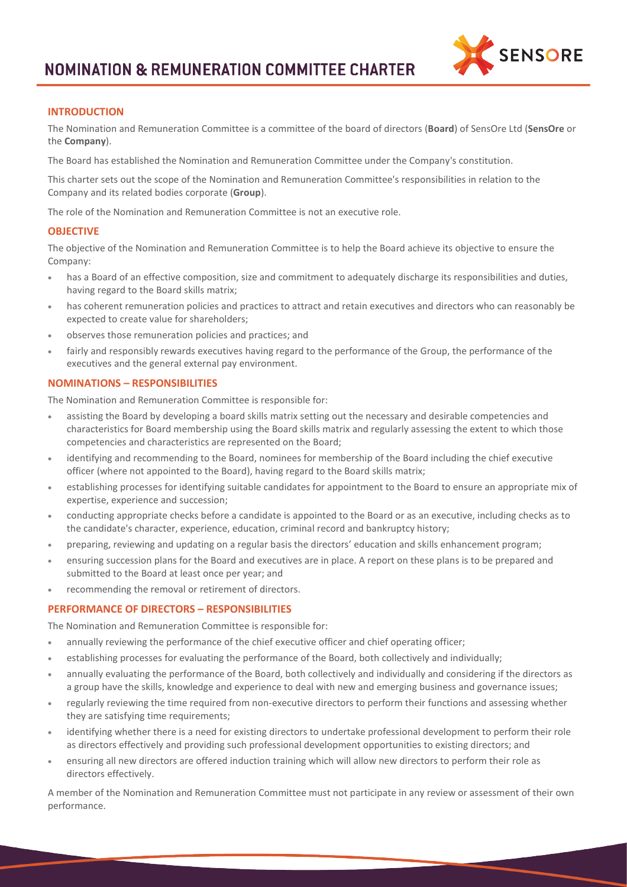

# **INTRODUCTION**

The Nomination and Remuneration Committee is a committee of the board of directors (**Board**) of SensOre Ltd (**SensOre** or the **Company**).

The Board has established the Nomination and Remuneration Committee under the Company's constitution.

This charter sets out the scope of the Nomination and Remuneration Committee's responsibilities in relation to the Company and its related bodies corporate (**Group**).

The role of the Nomination and Remuneration Committee is not an executive role.

## **OBJECTIVE**

The objective of the Nomination and Remuneration Committee is to help the Board achieve its objective to ensure the Company:

- has a Board of an effective composition, size and commitment to adequately discharge its responsibilities and duties, having regard to the Board skills matrix;
- has coherent remuneration policies and practices to attract and retain executives and directors who can reasonably be expected to create value for shareholders;
- observes those remuneration policies and practices; and
- fairly and responsibly rewards executives having regard to the performance of the Group, the performance of the executives and the general external pay environment.

## **NOMINATIONS – RESPONSIBILITIES**

The Nomination and Remuneration Committee is responsible for:

- assisting the Board by developing a board skills matrix setting out the necessary and desirable competencies and characteristics for Board membership using the Board skills matrix and regularly assessing the extent to which those competencies and characteristics are represented on the Board;
- identifying and recommending to the Board, nominees for membership of the Board including the chief executive officer (where not appointed to the Board), having regard to the Board skills matrix;
- establishing processes for identifying suitable candidates for appointment to the Board to ensure an appropriate mix of expertise, experience and succession;
- conducting appropriate checks before a candidate is appointed to the Board or as an executive, including checks as to the candidate's character, experience, education, criminal record and bankruptcy history;
- preparing, reviewing and updating on a regular basis the directors' education and skills enhancement program;
- ensuring succession plans for the Board and executives are in place. A report on these plans is to be prepared and submitted to the Board at least once per year; and
- recommending the removal or retirement of directors.

# **PERFORMANCE OF DIRECTORS – RESPONSIBILITIES**

The Nomination and Remuneration Committee is responsible for:

- annually reviewing the performance of the chief executive officer and chief operating officer;
- establishing processes for evaluating the performance of the Board, both collectively and individually;
- annually evaluating the performance of the Board, both collectively and individually and considering if the directors as a group have the skills, knowledge and experience to deal with new and emerging business and governance issues;
- regularly reviewing the time required from non-executive directors to perform their functions and assessing whether they are satisfying time requirements;
- identifying whether there is a need for existing directors to undertake professional development to perform their role as directors effectively and providing such professional development opportunities to existing directors; and
- ensuring all new directors are offered induction training which will allow new directors to perform their role as directors effectively.

A member of the Nomination and Remuneration Committee must not participate in any review or assessment of their own performance.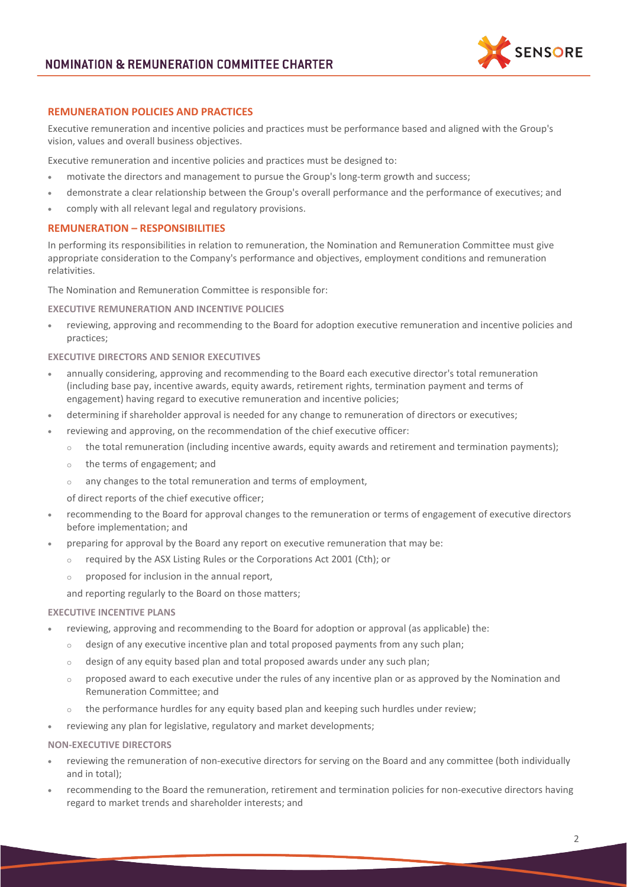

# **REMUNERATION POLICIES AND PRACTICES**

Executive remuneration and incentive policies and practices must be performance based and aligned with the Group's vision, values and overall business objectives.

Executive remuneration and incentive policies and practices must be designed to:

- motivate the directors and management to pursue the Group's long-term growth and success;
- demonstrate a clear relationship between the Group's overall performance and the performance of executives; and
- comply with all relevant legal and regulatory provisions.

### **REMUNERATION – RESPONSIBILITIES**

In performing its responsibilities in relation to remuneration, the Nomination and Remuneration Committee must give appropriate consideration to the Company's performance and objectives, employment conditions and remuneration relativities.

The Nomination and Remuneration Committee is responsible for:

## **EXECUTIVE REMUNERATION AND INCENTIVE POLICIES**

• reviewing, approving and recommending to the Board for adoption executive remuneration and incentive policies and practices;

#### **EXECUTIVE DIRECTORS AND SENIOR EXECUTIVES**

- annually considering, approving and recommending to the Board each executive director's total remuneration (including base pay, incentive awards, equity awards, retirement rights, termination payment and terms of engagement) having regard to executive remuneration and incentive policies;
- determining if shareholder approval is needed for any change to remuneration of directors or executives;
- reviewing and approving, on the recommendation of the chief executive officer:
	- $\circ$  the total remuneration (including incentive awards, equity awards and retirement and termination payments);
	- o the terms of engagement; and
	- o any changes to the total remuneration and terms of employment,
	- of direct reports of the chief executive officer;
- recommending to the Board for approval changes to the remuneration or terms of engagement of executive directors before implementation; and
- preparing for approval by the Board any report on executive remuneration that may be:
	- o required by the ASX Listing Rules or the Corporations Act 2001 (Cth); or
	- o proposed for inclusion in the annual report,

and reporting regularly to the Board on those matters;

#### **EXECUTIVE INCENTIVE PLANS**

- reviewing, approving and recommending to the Board for adoption or approval (as applicable) the:
	- $\circ$  design of any executive incentive plan and total proposed payments from any such plan;
	- o design of any equity based plan and total proposed awards under any such plan;
	- $\circ$  proposed award to each executive under the rules of any incentive plan or as approved by the Nomination and Remuneration Committee; and
	- the performance hurdles for any equity based plan and keeping such hurdles under review;
- reviewing any plan for legislative, regulatory and market developments;

#### **NON-EXECUTIVE DIRECTORS**

- reviewing the remuneration of non-executive directors for serving on the Board and any committee (both individually and in total);
- recommending to the Board the remuneration, retirement and termination policies for non-executive directors having regard to market trends and shareholder interests; and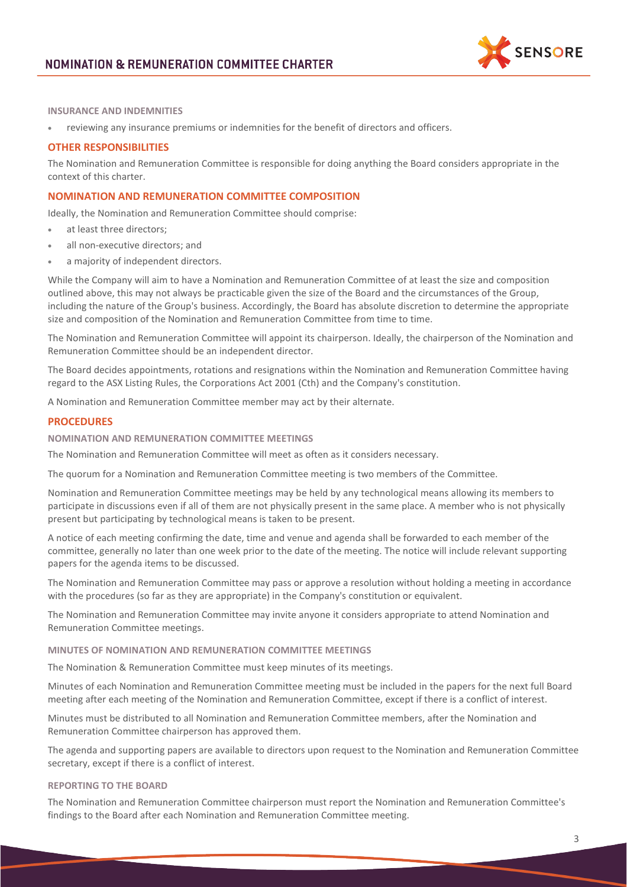

**INSURANCE AND INDEMNITIES**

• reviewing any insurance premiums or indemnities for the benefit of directors and officers.

## **OTHER RESPONSIBILITIES**

The Nomination and Remuneration Committee is responsible for doing anything the Board considers appropriate in the context of this charter.

## **NOMINATION AND REMUNERATION COMMITTEE COMPOSITION**

Ideally, the Nomination and Remuneration Committee should comprise:

- at least three directors:
- all non-executive directors; and
- a majority of independent directors.

While the Company will aim to have a Nomination and Remuneration Committee of at least the size and composition outlined above, this may not always be practicable given the size of the Board and the circumstances of the Group, including the nature of the Group's business. Accordingly, the Board has absolute discretion to determine the appropriate size and composition of the Nomination and Remuneration Committee from time to time.

The Nomination and Remuneration Committee will appoint its chairperson. Ideally, the chairperson of the Nomination and Remuneration Committee should be an independent director.

The Board decides appointments, rotations and resignations within the Nomination and Remuneration Committee having regard to the ASX Listing Rules, the Corporations Act 2001 (Cth) and the Company's constitution.

A Nomination and Remuneration Committee member may act by their alternate.

### **PROCEDURES**

## **NOMINATION AND REMUNERATION COMMITTEE MEETINGS**

The Nomination and Remuneration Committee will meet as often as it considers necessary.

The quorum for a Nomination and Remuneration Committee meeting is two members of the Committee.

Nomination and Remuneration Committee meetings may be held by any technological means allowing its members to participate in discussions even if all of them are not physically present in the same place. A member who is not physically present but participating by technological means is taken to be present.

A notice of each meeting confirming the date, time and venue and agenda shall be forwarded to each member of the committee, generally no later than one week prior to the date of the meeting. The notice will include relevant supporting papers for the agenda items to be discussed.

The Nomination and Remuneration Committee may pass or approve a resolution without holding a meeting in accordance with the procedures (so far as they are appropriate) in the Company's constitution or equivalent.

The Nomination and Remuneration Committee may invite anyone it considers appropriate to attend Nomination and Remuneration Committee meetings.

#### **MINUTES OF NOMINATION AND REMUNERATION COMMITTEE MEETINGS**

The Nomination & Remuneration Committee must keep minutes of its meetings.

Minutes of each Nomination and Remuneration Committee meeting must be included in the papers for the next full Board meeting after each meeting of the Nomination and Remuneration Committee, except if there is a conflict of interest.

Minutes must be distributed to all Nomination and Remuneration Committee members, after the Nomination and Remuneration Committee chairperson has approved them.

The agenda and supporting papers are available to directors upon request to the Nomination and Remuneration Committee secretary, except if there is a conflict of interest.

#### **REPORTING TO THE BOARD**

The Nomination and Remuneration Committee chairperson must report the Nomination and Remuneration Committee's findings to the Board after each Nomination and Remuneration Committee meeting.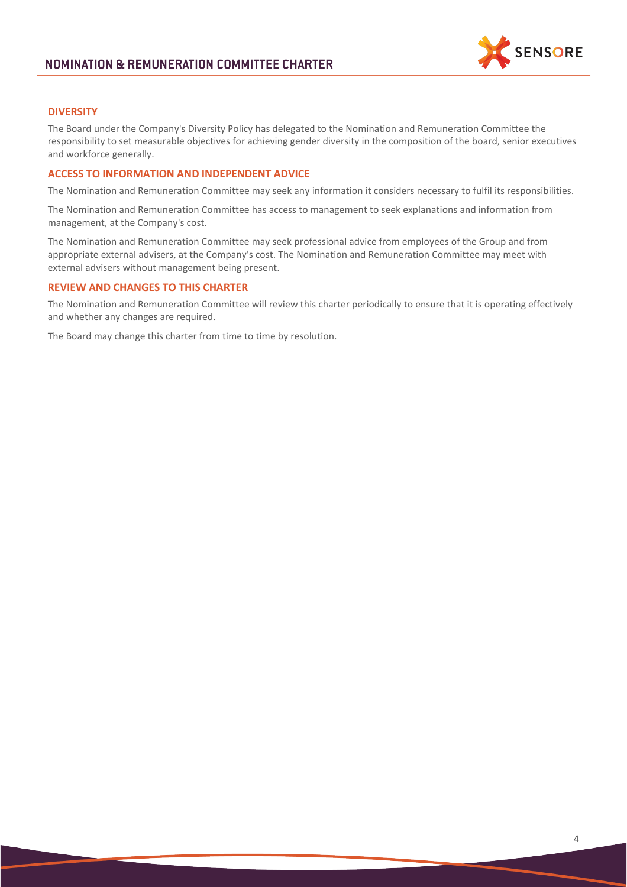

# **DIVERSITY**

The Board under the Company's Diversity Policy has delegated to the Nomination and Remuneration Committee the responsibility to set measurable objectives for achieving gender diversity in the composition of the board, senior executives and workforce generally.

## **ACCESS TO INFORMATION AND INDEPENDENT ADVICE**

The Nomination and Remuneration Committee may seek any information it considers necessary to fulfil its responsibilities.

The Nomination and Remuneration Committee has access to management to seek explanations and information from management, at the Company's cost.

The Nomination and Remuneration Committee may seek professional advice from employees of the Group and from appropriate external advisers, at the Company's cost. The Nomination and Remuneration Committee may meet with external advisers without management being present.

### **REVIEW AND CHANGES TO THIS CHARTER**

The Nomination and Remuneration Committee will review this charter periodically to ensure that it is operating effectively and whether any changes are required.

The Board may change this charter from time to time by resolution.